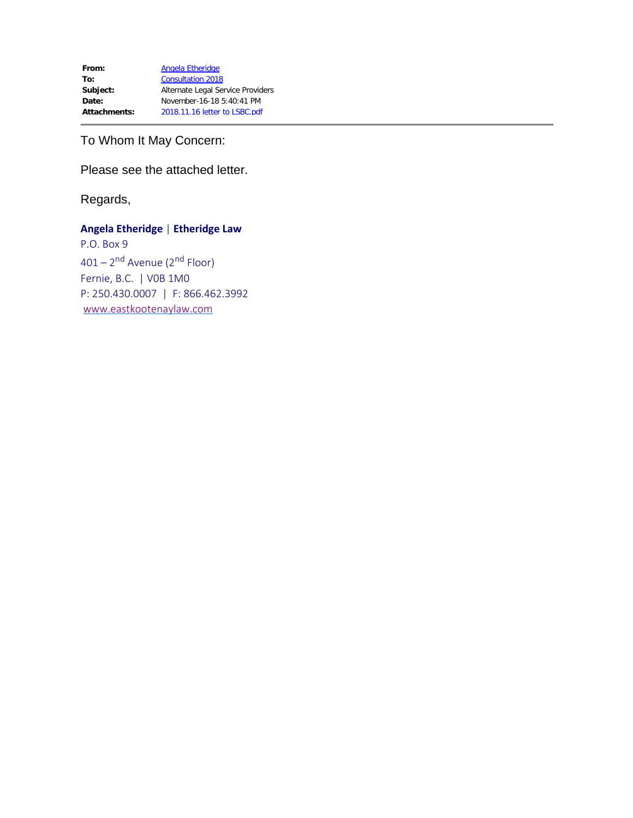From: [Angela Etheridge](mailto:angela@eastkootenaylaw.com) To: [Consultation 2018](mailto:Consultation2018@lsbc.org) **Subject:** Alternate Legal Service Providers **Date:** November-16-18 5:40:41 PM **Attachments:** 2018.11.16 letter to LSBC.pdf

To Whom It May Concern:

Please see the attached letter.

Regards,

## **Angela Etheridge** | **Etheridge Law**

P.O. Box 9 401 – 2<sup>nd</sup> Avenue (2<sup>nd</sup> Floor) Fernie, B.C. | V0B 1M0 P: 250.430.0007 | F: 866.462.3992 [www.eastkootenaylaw.com](http://www.eastkootenaylaw.com/)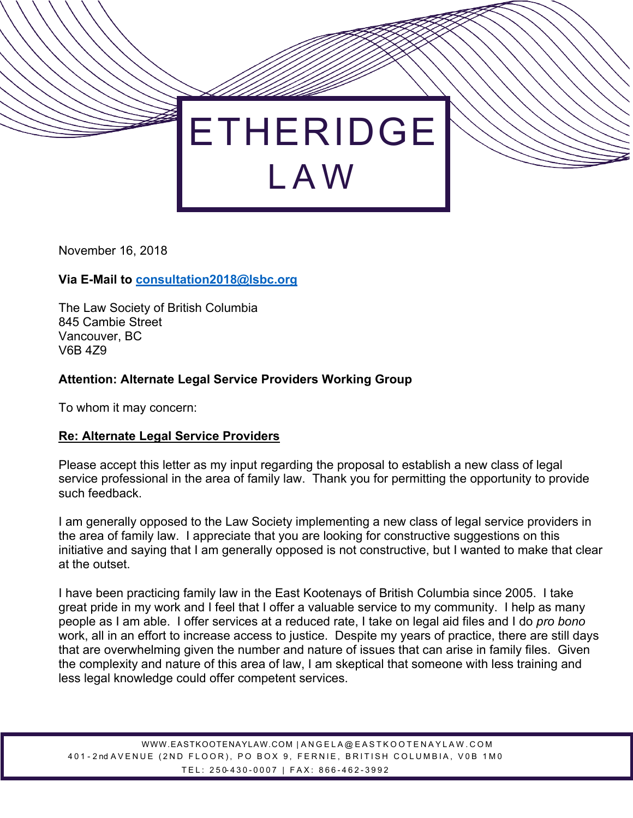

November 16, 2018

## **Via E-Mail to consultation2018@lsbc.org**

The Law Society of British Columbia 845 Cambie Street Vancouver, BC V6B 4Z9

## **Attention: Alternate Legal Service Providers Working Group**

To whom it may concern:

## **Re: Alternate Legal Service Providers**

Please accept this letter as my input regarding the proposal to establish a new class of legal service professional in the area of family law. Thank you for permitting the opportunity to provide such feedback.

I am generally opposed to the Law Society implementing a new class of legal service providers in the area of family law. I appreciate that you are looking for constructive suggestions on this initiative and saying that I am generally opposed is not constructive, but I wanted to make that clear at the outset.

I have been practicing family law in the East Kootenays of British Columbia since 2005. I take great pride in my work and I feel that I offer a valuable service to my community. I help as many people as I am able. I offer services at a reduced rate, I take on legal aid files and I do *pro bono* work, all in an effort to increase access to justice. Despite my years of practice, there are still days that are overwhelming given the number and nature of issues that can arise in family files. Given the complexity and nature of this area of law, I am skeptical that someone with less training and less legal knowledge could offer competent services.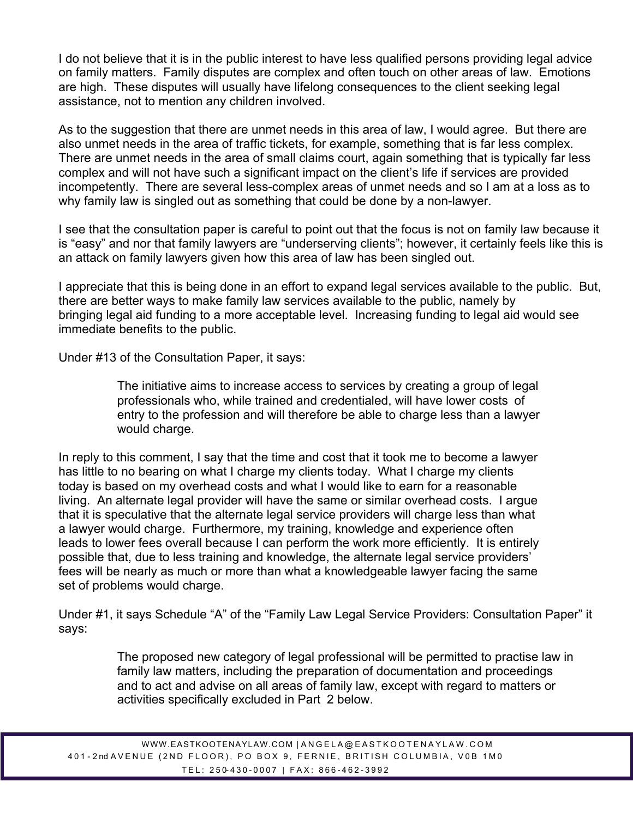I do not believe that it is in the public interest to have less qualified persons providing legal advice on family matters. Family disputes are complex and often touch on other areas of law. Emotions are high. These disputes will usually have lifelong consequences to the client seeking legal assistance, not to mention any children involved.

As to the suggestion that there are unmet needs in this area of law, I would agree. But there are also unmet needs in the area of traffic tickets, for example, something that is far less complex. There are unmet needs in the area of small claims court, again something that is typically far less complex and will not have such a significant impact on the client's life if services are provided incompetently. There are several less-complex areas of unmet needs and so I am at a loss as to why family law is singled out as something that could be done by a non-lawyer.

I see that the consultation paper is careful to point out that the focus is not on family law because it is "easy" and nor that family lawyers are "underserving clients"; however, it certainly feels like this is an attack on family lawyers given how this area of law has been singled out.

I appreciate that this is being done in an effort to expand legal services available to the public. But, there are better ways to make family law services available to the public, namely by bringing legal aid funding to a more acceptable level. Increasing funding to legal aid would see immediate benefits to the public.

Under #13 of the Consultation Paper, it says:

The initiative aims to increase access to services by creating a group of legal professionals who, while trained and credentialed, will have lower costs of entry to the profession and will therefore be able to charge less than a lawyer would charge.

In reply to this comment, I say that the time and cost that it took me to become a lawyer has little to no bearing on what I charge my clients today. What I charge my clients today is based on my overhead costs and what I would like to earn for a reasonable living. An alternate legal provider will have the same or similar overhead costs. I argue that it is speculative that the alternate legal service providers will charge less than what a lawyer would charge. Furthermore, my training, knowledge and experience often leads to lower fees overall because I can perform the work more efficiently. It is entirely possible that, due to less training and knowledge, the alternate legal service providers' fees will be nearly as much or more than what a knowledgeable lawyer facing the same set of problems would charge.

Under #1, it says Schedule "A" of the "Family Law Legal Service Providers: Consultation Paper" it says:

> The proposed new category of legal professional will be permitted to practise law in family law matters, including the preparation of documentation and proceedings and to act and advise on all areas of family law, except with regard to matters or activities specifically excluded in Part 2 below.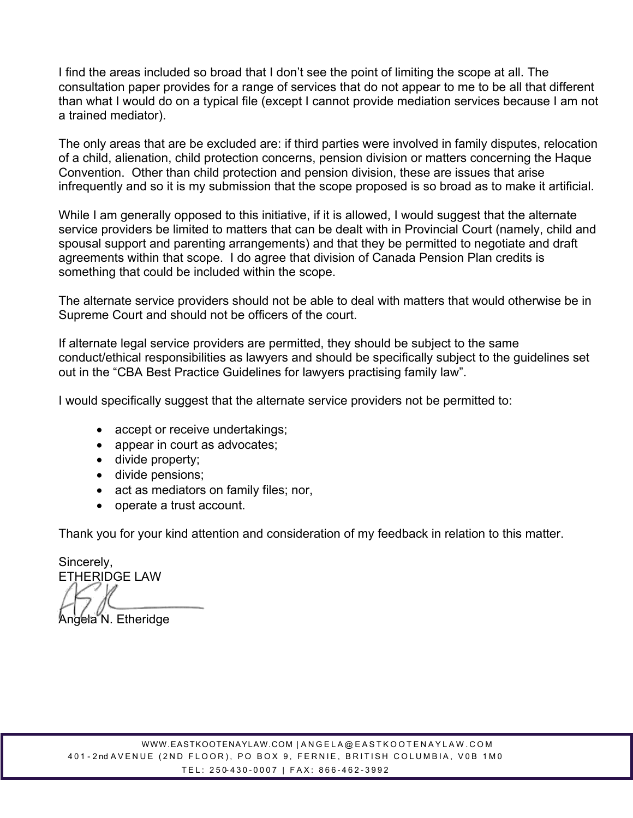I find the areas included so broad that I don't see the point of limiting the scope at all. The consultation paper provides for a range of services that do not appear to me to be all that different than what I would do on a typical file (except I cannot provide mediation services because I am not a trained mediator).

The only areas that are be excluded are: if third parties were involved in family disputes, relocation of a child, alienation, child protection concerns, pension division or matters concerning the Haque Convention. Other than child protection and pension division, these are issues that arise infrequently and so it is my submission that the scope proposed is so broad as to make it artificial.

While I am generally opposed to this initiative, if it is allowed, I would suggest that the alternate service providers be limited to matters that can be dealt with in Provincial Court (namely, child and spousal support and parenting arrangements) and that they be permitted to negotiate and draft agreements within that scope. I do agree that division of Canada Pension Plan credits is something that could be included within the scope.

The alternate service providers should not be able to deal with matters that would otherwise be in Supreme Court and should not be officers of the court.

If alternate legal service providers are permitted, they should be subject to the same conduct/ethical responsibilities as lawyers and should be specifically subject to the guidelines set out in the "CBA Best Practice Guidelines for lawyers practising family law".

I would specifically suggest that the alternate service providers not be permitted to:

- accept or receive undertakings;
- appear in court as advocates;
- divide property;
- divide pensions;
- act as mediators on family files; nor,
- operate a trust account.

Thank you for your kind attention and consideration of my feedback in relation to this matter.

Sincerely, ETHERIDGE LAW Angela N. Etheridge